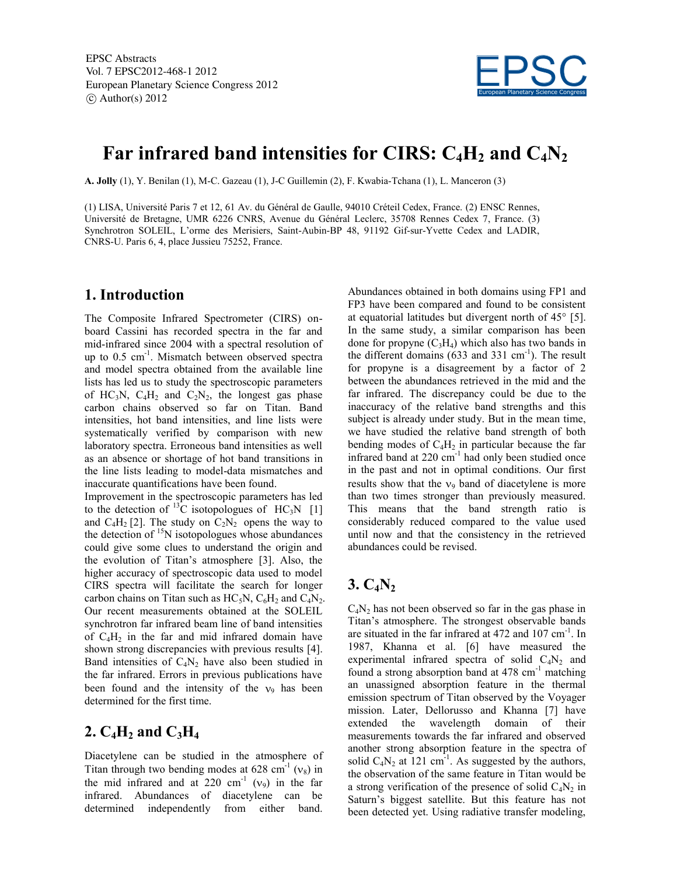

# **Far infrared band intensities for CIRS: C4H<sup>2</sup> and C4N<sup>2</sup>**

**A. Jolly** (1), Y. Benilan (1), M-C. Gazeau (1), J-C Guillemin (2), F. Kwabia-Tchana (1), L. Manceron (3)

(1) LISA, Université Paris 7 et 12, 61 Av. du Général de Gaulle, 94010 Créteil Cedex, France. (2) ENSC Rennes, Université de Bretagne, UMR 6226 CNRS, Avenue du Général Leclerc, 35708 Rennes Cedex 7, France. (3) Synchrotron SOLEIL, L'orme des Merisiers, Saint-Aubin-BP 48, 91192 Gif-sur-Yvette Cedex and LADIR, CNRS-U. Paris 6, 4, place Jussieu 75252, France.

## **1. Introduction**

The Composite Infrared Spectrometer (CIRS) onboard Cassini has recorded spectra in the far and mid-infrared since 2004 with a spectral resolution of up to 0.5 cm<sup>-1</sup>. Mismatch between observed spectra and model spectra obtained from the available line lists has led us to study the spectroscopic parameters of HC<sub>3</sub>N, C<sub>4</sub>H<sub>2</sub> and C<sub>2</sub>N<sub>2</sub>, the longest gas phase carbon chains observed so far on Titan. Band intensities, hot band intensities, and line lists were systematically verified by comparison with new laboratory spectra. Erroneous band intensities as well as an absence or shortage of hot band transitions in the line lists leading to model-data mismatches and inaccurate quantifications have been found.

Improvement in the spectroscopic parameters has led to the detection of  $^{13}$ C isotopologues of HC<sub>3</sub>N [1] and  $C_4H_2$  [2]. The study on  $C_2N_2$  opens the way to the detection of  $\rm{^{15}N}$  isotopologues whose abundances could give some clues to understand the origin and the evolution of Titan's atmosphere [3]. Also, the higher accuracy of spectroscopic data used to model CIRS spectra will facilitate the search for longer carbon chains on Titan such as  $HC_5N$ ,  $C_6H_2$  and  $C_4N_2$ . Our recent measurements obtained at the SOLEIL synchrotron far infrared beam line of band intensities of  $C_4H_2$  in the far and mid infrared domain have shown strong discrepancies with previous results [4]. Band intensities of  $C_4N_2$  have also been studied in the far infrared. Errors in previous publications have been found and the intensity of the  $v_9$  has been determined for the first time.

# **2.**  $C_4H_2$  and  $C_3H_4$

Diacetylene can be studied in the atmosphere of Titan through two bending modes at  $628 \text{ cm}^{-1}$  ( $v_8$ ) in the mid infrared and at 220  $cm^{-1}$  ( $v_9$ ) in the far infrared. Abundances of diacetylene can be determined independently from either band.

Abundances obtained in both domains using FP1 and FP3 have been compared and found to be consistent at equatorial latitudes but divergent north of 45° [5]. In the same study, a similar comparison has been done for propyne  $(C_3H_4)$  which also has two bands in the different domains  $(633 \text{ and } 331 \text{ cm}^{-1})$ . The result for propyne is a disagreement by a factor of 2 between the abundances retrieved in the mid and the far infrared. The discrepancy could be due to the inaccuracy of the relative band strengths and this subject is already under study. But in the mean time, we have studied the relative band strength of both bending modes of  $C_4H_2$  in particular because the far infrared band at 220 cm<sup>-1</sup> had only been studied once in the past and not in optimal conditions. Our first results show that the  $v_9$  band of diacetylene is more than two times stronger than previously measured. This means that the band strength ratio is considerably reduced compared to the value used until now and that the consistency in the retrieved abundances could be revised.

## **3. C4N<sup>2</sup>**

 $C_4N_2$  has not been observed so far in the gas phase in Titan's atmosphere. The strongest observable bands are situated in the far infrared at 472 and 107 cm<sup>-1</sup>. In 1987, Khanna et al. [6] have measured the experimental infrared spectra of solid  $C_4N_2$  and found a strong absorption band at  $478 \text{ cm}^{-1}$  matching an unassigned absorption feature in the thermal emission spectrum of Titan observed by the Voyager mission. Later, Dellorusso and Khanna [7] have extended the wavelength domain of their measurements towards the far infrared and observed another strong absorption feature in the spectra of solid  $C_4N_2$  at 121 cm<sup>-1</sup>. As suggested by the authors, the observation of the same feature in Titan would be a strong verification of the presence of solid  $C_4N_2$  in Saturn's biggest satellite. But this feature has not been detected yet. Using radiative transfer modeling,